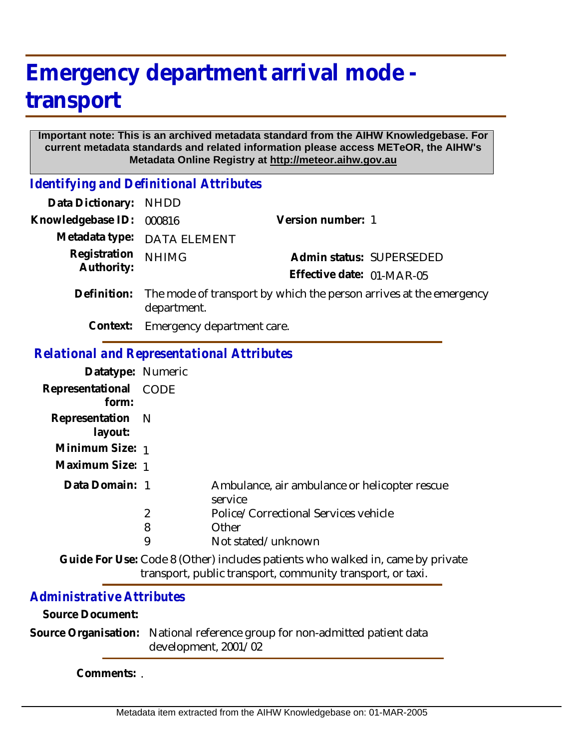## **Emergency department arrival mode transport**

## **Important note: This is an archived metadata standard from the AIHW Knowledgebase. For current metadata standards and related information please access METeOR, the AIHW's Metadata Online Registry at http://meteor.aihw.gov.au**

*Identifying and Definitional Attributes*

| Data Dictionary: NHDD |                                                                                                                                                                                                                                                                                                                                                                              |                           |                          |
|-----------------------|------------------------------------------------------------------------------------------------------------------------------------------------------------------------------------------------------------------------------------------------------------------------------------------------------------------------------------------------------------------------------|---------------------------|--------------------------|
| Knowledgebase ID:     | 000816                                                                                                                                                                                                                                                                                                                                                                       | Version number: 1         |                          |
|                       | Metadata type: DATA ELEMENT                                                                                                                                                                                                                                                                                                                                                  |                           |                          |
| Registration          | <b>NHIMG</b>                                                                                                                                                                                                                                                                                                                                                                 |                           | Admin status: SUPERSEDED |
| Authority:            |                                                                                                                                                                                                                                                                                                                                                                              | Effective date: 01-MAR-05 |                          |
| Definition:           | The mode of transport by which the person arrives at the emergency<br>department.                                                                                                                                                                                                                                                                                            |                           |                          |
|                       | $\bigcap$ and and $\bigcap$ $\bigcap$ $\bigcap$ $\bigcap$ $\bigcap$ $\bigcap$ $\bigcap$ $\bigcap$ $\bigcap$ $\bigcap$ $\bigcap$ $\bigcap$ $\bigcap$ $\bigcap$ $\bigcap$ $\bigcap$ $\bigcap$ $\bigcap$ $\bigcap$ $\bigcap$ $\bigcap$ $\bigcap$ $\bigcap$ $\bigcap$ $\bigcap$ $\bigcap$ $\bigcap$ $\bigcap$ $\bigcap$ $\bigcap$ $\bigcap$ $\bigcap$ $\bigcap$ $\bigcap$ $\big$ |                           |                          |

**Context:** Emergency department care.

## *Relational and Representational Attributes*

| Datatype: Numeric              |   |                                                          |
|--------------------------------|---|----------------------------------------------------------|
| Representational CODE<br>form: |   |                                                          |
| Representation N<br>layout:    |   |                                                          |
| Minimum Size: 1                |   |                                                          |
| Maximum Size: 1                |   |                                                          |
| Data Domain: 1                 |   | Ambulance, air ambulance or helicopter rescue<br>service |
|                                | 2 | Police/Correctional Services vehicle                     |
|                                | 8 | Other                                                    |
|                                | 9 | Not stated/unknown                                       |

Guide For Use: Code 8 (Other) includes patients who walked in, came by private transport, public transport, community transport, or taxi.

## *Administrative Attributes*

**Source Document:**

Source Organisation: National reference group for non-admitted patient data development, 2001/02

**Comments:** .